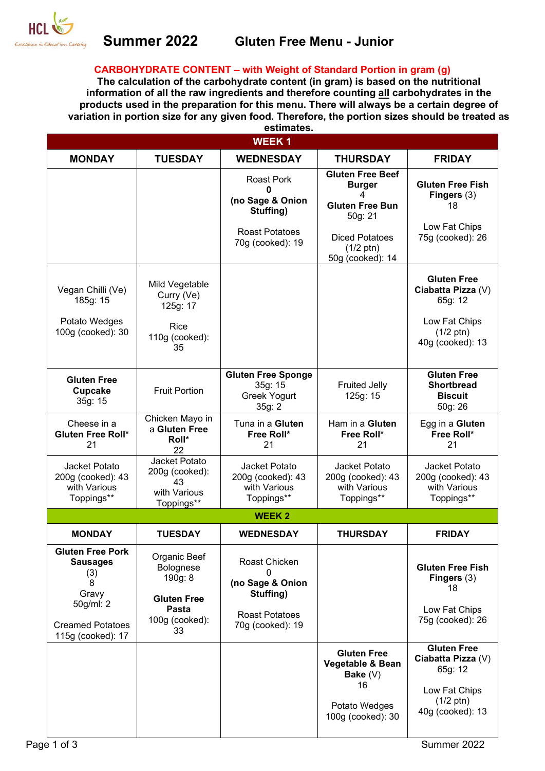

#### **CARBOHYDRATE CONTENT – with Weight of Standard Portion in gram (g)**

**The calculation of the carbohydrate content (in gram) is based on the nutritional information of all the raw ingredients and therefore counting all carbohydrates in the products used in the preparation for this menu. There will always be a certain degree of variation in portion size for any given food. Therefore, the portion sizes should be treated as estimates.**

| <b>WEEK1</b>                                                                                                                 |                                                                                             |                                                                                                      |                                                                                                                                                        |                                                                                                                 |  |  |
|------------------------------------------------------------------------------------------------------------------------------|---------------------------------------------------------------------------------------------|------------------------------------------------------------------------------------------------------|--------------------------------------------------------------------------------------------------------------------------------------------------------|-----------------------------------------------------------------------------------------------------------------|--|--|
| <b>MONDAY</b>                                                                                                                | <b>TUESDAY</b>                                                                              | <b>WEDNESDAY</b>                                                                                     | <b>THURSDAY</b>                                                                                                                                        | <b>FRIDAY</b>                                                                                                   |  |  |
|                                                                                                                              |                                                                                             | <b>Roast Pork</b><br>0<br>(no Sage & Onion<br>Stuffing)<br><b>Roast Potatoes</b><br>70g (cooked): 19 | <b>Gluten Free Beef</b><br><b>Burger</b><br>4<br><b>Gluten Free Bun</b><br>50g: 21<br><b>Diced Potatoes</b><br>$(1/2 \text{ ptn})$<br>50g (cooked): 14 | <b>Gluten Free Fish</b><br>Fingers $(3)$<br>18<br>Low Fat Chips<br>75g (cooked): 26                             |  |  |
| Vegan Chilli (Ve)<br>185g: 15<br>Potato Wedges<br>100g (cooked): 30                                                          | Mild Vegetable<br>Curry (Ve)<br>125g: 17<br>Rice<br>110g (cooked):<br>35                    |                                                                                                      |                                                                                                                                                        | <b>Gluten Free</b><br>Ciabatta Pizza (V)<br>65g: 12<br>Low Fat Chips<br>$(1/2 \text{ ptn})$<br>40g (cooked): 13 |  |  |
| <b>Gluten Free</b><br><b>Cupcake</b><br>35g: 15                                                                              | <b>Fruit Portion</b>                                                                        | <b>Gluten Free Sponge</b><br>35g: 15<br><b>Greek Yogurt</b><br>35g: 2                                | <b>Fruited Jelly</b><br>125g: 15                                                                                                                       | <b>Gluten Free</b><br><b>Shortbread</b><br><b>Biscuit</b><br>50g: 26                                            |  |  |
| Cheese in a<br><b>Gluten Free Roll*</b><br>21                                                                                | Chicken Mayo in<br>a Gluten Free<br>Roll*<br>22                                             | Tuna in a Gluten<br>Free Roll*<br>21                                                                 | Ham in a Gluten<br>Free Roll*<br>21                                                                                                                    | Egg in a Gluten<br>Free Roll*<br>21                                                                             |  |  |
| Jacket Potato<br>200g (cooked): 43<br>with Various<br>Toppings**                                                             | Jacket Potato<br>200g (cooked):<br>43<br>with Various<br>Toppings**                         | Jacket Potato<br>200g (cooked): 43<br>with Various<br>Toppings**                                     | Jacket Potato<br>200g (cooked): 43<br>with Various<br>Toppings**                                                                                       | Jacket Potato<br>200g (cooked): 43<br>with Various<br>Toppings**                                                |  |  |
|                                                                                                                              |                                                                                             | <b>WEEK2</b>                                                                                         |                                                                                                                                                        |                                                                                                                 |  |  |
| <b>MONDAY</b>                                                                                                                | <b>TUESDAY</b>                                                                              | <b>WEDNESDAY</b>                                                                                     | <b>THURSDAY</b>                                                                                                                                        | <b>FRIDAY</b>                                                                                                   |  |  |
| <b>Gluten Free Pork</b><br><b>Sausages</b><br>(3)<br>8<br>Gravy<br>50g/ml: 2<br><b>Creamed Potatoes</b><br>115g (cooked): 17 | Organic Beef<br>Bolognese<br>190g: 8<br><b>Gluten Free</b><br>Pasta<br>100g (cooked):<br>33 | Roast Chicken<br>(no Sage & Onion<br>Stuffing)<br><b>Roast Potatoes</b><br>70g (cooked): 19          |                                                                                                                                                        | <b>Gluten Free Fish</b><br>Fingers $(3)$<br>18<br>Low Fat Chips<br>75g (cooked): 26                             |  |  |
|                                                                                                                              |                                                                                             |                                                                                                      | <b>Gluten Free</b><br>Vegetable & Bean<br>Bake $(V)$<br>16<br>Potato Wedges<br>100g (cooked): 30                                                       | <b>Gluten Free</b><br>Ciabatta Pizza (V)<br>65g: 12<br>Low Fat Chips<br>$(1/2 \text{ ptn})$<br>40g (cooked): 13 |  |  |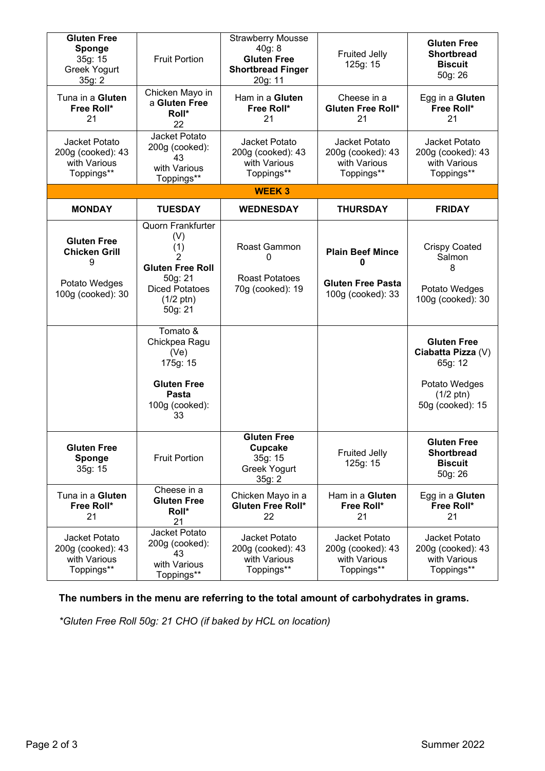| <b>Gluten Free</b><br>Sponge<br>35g: 15<br><b>Greek Yogurt</b><br>35g: 2              | <b>Fruit Portion</b>                                                                                                                         | <b>Strawberry Mousse</b><br>40g: 8<br><b>Gluten Free</b><br><b>Shortbread Finger</b><br>20g: 11 | <b>Fruited Jelly</b><br>125g: 15                                              | <b>Gluten Free</b><br><b>Shortbread</b><br><b>Biscuit</b><br>50g: 26                                            |
|---------------------------------------------------------------------------------------|----------------------------------------------------------------------------------------------------------------------------------------------|-------------------------------------------------------------------------------------------------|-------------------------------------------------------------------------------|-----------------------------------------------------------------------------------------------------------------|
| Tuna in a Gluten<br>Free Roll*<br>21                                                  | Chicken Mayo in<br>a Gluten Free<br>Roll*<br>22                                                                                              | Ham in a Gluten<br>Free Roll*<br>21                                                             | Cheese in a<br><b>Gluten Free Roll*</b><br>21                                 | Egg in a Gluten<br>Free Roll*<br>21                                                                             |
| Jacket Potato<br>200g (cooked): 43<br>with Various<br>Toppings**                      | Jacket Potato<br>200g (cooked):<br>43<br>with Various<br>Toppings**                                                                          | Jacket Potato<br>200g (cooked): 43<br>with Various<br>Toppings**                                | Jacket Potato<br>200g (cooked): 43<br>with Various<br>Toppings**              | Jacket Potato<br>200g (cooked): 43<br>with Various<br>Toppings**                                                |
|                                                                                       |                                                                                                                                              | <b>WEEK3</b>                                                                                    |                                                                               |                                                                                                                 |
| <b>MONDAY</b>                                                                         | <b>TUESDAY</b>                                                                                                                               | <b>WEDNESDAY</b>                                                                                | <b>THURSDAY</b>                                                               | <b>FRIDAY</b>                                                                                                   |
| <b>Gluten Free</b><br><b>Chicken Grill</b><br>9<br>Potato Wedges<br>100g (cooked): 30 | <b>Quorn Frankfurter</b><br>(V)<br>(1)<br>2<br><b>Gluten Free Roll</b><br>50g: 21<br><b>Diced Potatoes</b><br>$(1/2 \text{ ptn})$<br>50g: 21 | Roast Gammon<br>0<br><b>Roast Potatoes</b><br>70g (cooked): 19                                  | <b>Plain Beef Mince</b><br>0<br><b>Gluten Free Pasta</b><br>100g (cooked): 33 | <b>Crispy Coated</b><br>Salmon<br>8<br>Potato Wedges<br>100g (cooked): 30                                       |
|                                                                                       | Tomato &<br>Chickpea Ragu<br>(Ve)<br>175g: 15<br><b>Gluten Free</b><br>Pasta<br>100g (cooked):<br>33                                         |                                                                                                 |                                                                               | <b>Gluten Free</b><br>Ciabatta Pizza (V)<br>65g: 12<br>Potato Wedges<br>$(1/2 \text{ ptn})$<br>50g (cooked): 15 |
| <b>Gluten Free</b><br>Sponge<br>35g: 15                                               | <b>Fruit Portion</b>                                                                                                                         | <b>Gluten Free</b><br>Cupcake<br>35g: 15<br><b>Greek Yogurt</b><br>35g: 2                       | <b>Fruited Jelly</b><br>125g: 15                                              | <b>Gluten Free</b><br><b>Shortbread</b><br><b>Biscuit</b><br>50g: 26                                            |
| Tuna in a Gluten<br>Free Roll*<br>21                                                  | Cheese in a<br><b>Gluten Free</b><br>Roll*<br>21                                                                                             | Chicken Mayo in a<br>Gluten Free Roll*<br>22                                                    | Ham in a Gluten<br>Free Roll*<br>21                                           | Egg in a Gluten<br>Free Roll*<br>21                                                                             |
| Jacket Potato<br>200g (cooked): 43<br>with Various<br>Toppings**                      | Jacket Potato<br>200g (cooked):<br>43<br>with Various<br>Toppings**                                                                          | Jacket Potato<br>200g (cooked): 43<br>with Various<br>Toppings**                                | Jacket Potato<br>200g (cooked): 43<br>with Various<br>Toppings**              | Jacket Potato<br>200g (cooked): 43<br>with Various<br>Toppings**                                                |

# **The numbers in the menu are referring to the total amount of carbohydrates in grams.**

*\*Gluten Free Roll 50g: 21 CHO (if baked by HCL on location)*